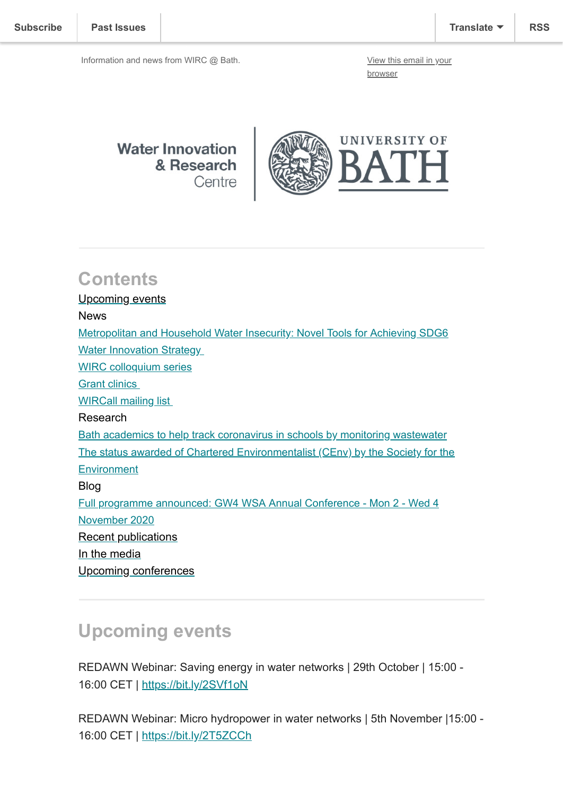browser

**Water Innovation** & Research Centre



## **Contents**

Upcoming events News [Metropolitan and Household Water Insecurity: Novel Tools for Achieving SDG6](#page-1-0) Water Innovation Strategy [WIRC colloquium series](#page-2-0) [Grant clinics](#page-2-1)  [WIRCall mailing list](#page-3-0)  Research Bath academics to help track coronavirus in schools by monitoring wastewater [The status awarded of Chartered Environmentalist \(CEnv\) by the Society for the](#page-3-1) **Environment** Blog [Full programme announced: GW4 WSA Annual Conference - Mon 2 - Wed 4](#page-4-0) November 2020 Recent publications [In the media](#page-4-1) [Upcoming conferences](#page-5-0)

# **Upcoming events**

REDAWN Webinar: Saving energy in water networks | 29th October | 15:00 - 16:00 CET | [https://bit.ly/2SVf1oN](https://eur01.safelinks.protection.outlook.com/?url=https%3A%2F%2Fbit.ly%2F2SVf1oN&data=04%7C01%7Cses64%40bath.ac.uk%7C1721d864c01443e9146008d870ffb38f%7C377e3d224ea1422db0ad8fcc89406b9e%7C0%7C0%7C637383590817228055%7CUnknown%7CTWFpbGZsb3d8eyJWIjoiMC4wLjAwMDAiLCJQIjoiV2luMzIiLCJBTiI6Ik1haWwiLCJXVCI6Mn0%3D%7C1000&sdata=GluAmQto3AGRVRdbtMs75LhRbP4B%2F9kXOGlGZPGf7rk%3D&reserved=0)

REDAWN Webinar: Micro hydropower in water networks | 5th November |15:00 - 16:00 CET | [https://bit.ly/2T5ZCCh](https://eur01.safelinks.protection.outlook.com/?url=https%3A%2F%2Fbit.ly%2F2T5ZCCh&data=04%7C01%7Cses64%40bath.ac.uk%7C1721d864c01443e9146008d870ffb38f%7C377e3d224ea1422db0ad8fcc89406b9e%7C0%7C0%7C637383590817238043%7CUnknown%7CTWFpbGZsb3d8eyJWIjoiMC4wLjAwMDAiLCJQIjoiV2luMzIiLCJBTiI6Ik1haWwiLCJXVCI6Mn0%3D%7C1000&sdata=wMsuhP0Sy%2B9qmoraroSEYYZ3G5zxWmMD8a2LfuXC3bw%3D&reserved=0)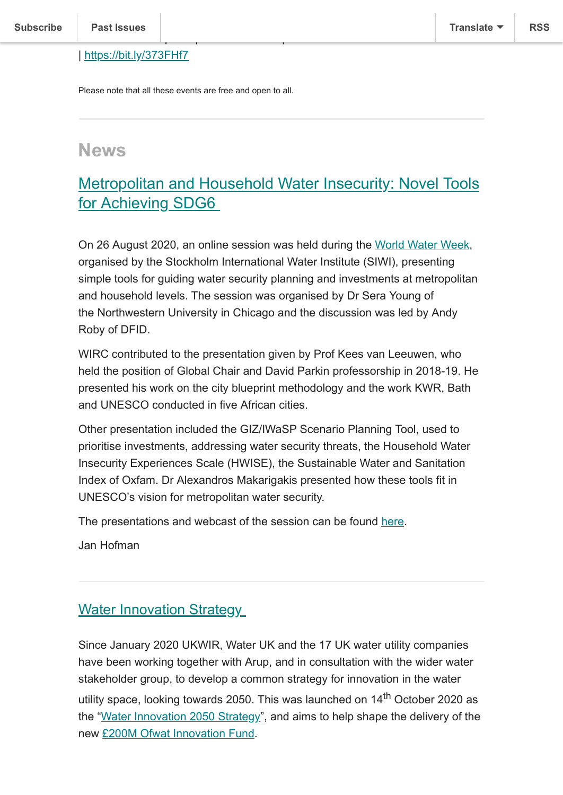#### | [https://bit.ly/373FHf7](https://eur01.safelinks.protection.outlook.com/?url=https%3A%2F%2Fbit.ly%2F373FHf7&data=04%7C01%7Cses64%40bath.ac.uk%7C1721d864c01443e9146008d870ffb38f%7C377e3d224ea1422db0ad8fcc89406b9e%7C0%7C0%7C637383590817238043%7CUnknown%7CTWFpbGZsb3d8eyJWIjoiMC4wLjAwMDAiLCJQIjoiV2luMzIiLCJBTiI6Ik1haWwiLCJXVCI6Mn0%3D%7C1000&sdata=P4F9FLKyWtGg12humi7ohsag%2BdHFOykP5gnMGcU01mk%3D&reserved=0)

Please note that all these events are free and open to all.

environmental impacts | 12th November |15:00 - 16:00 CET

## **News**

## <span id="page-1-0"></span>Metropolitan and Household Water Insecurity: Novel Tools for Achieving SDG6

On 26 August 2020, an online session was held during the [World Water Week,](https://www.worldwaterweek.org/) organised by the Stockholm International Water Institute (SIWI), presenting simple tools for guiding water security planning and investments at metropolitan and household levels. The session was organised by Dr Sera Young of the Northwestern University in Chicago and the discussion was led by Andy Roby of DFID.

WIRC contributed to the presentation given by Prof Kees van Leeuwen, who held the position of Global Chair and David Parkin professorship in 2018-19. He presented his work on the city blueprint methodology and the work KWR, Bath and UNESCO conducted in five African cities.

Other presentation included the GIZ/IWaSP Scenario Planning Tool, used to prioritise investments, addressing water security threats, the Household Water Insecurity Experiences Scale (HWISE), the Sustainable Water and Sanitation Index of Oxfam. Dr Alexandros Makarigakis presented how these tools fit in UNESCO's vision for metropolitan water security.

The presentations and webcast of the session can be found [here](https://www.ipr.northwestern.edu/our-work/research-tools-apps/water-insecurity/index.html%20%C2%A0).

Jan Hofman

#### Water Innovation Strategy

Since January 2020 UKWIR, Water UK and the 17 UK water utility companies have been working together with Arup, and in consultation with the wider water stakeholder group, to develop a common strategy for innovation in the water utility space, looking towards 2050. This was launched on 14<sup>th</sup> October 2020 as the "[Water Innovation 2050 Strategy](https://waterinnovation2050.org.uk/)", and aims to help shape the delivery of the new [£200M Ofwat Innovation Fund](https://www.ofwat.gov.uk/regulated-companies/innovation-in-the-water-sector/water-innovation-competitions/).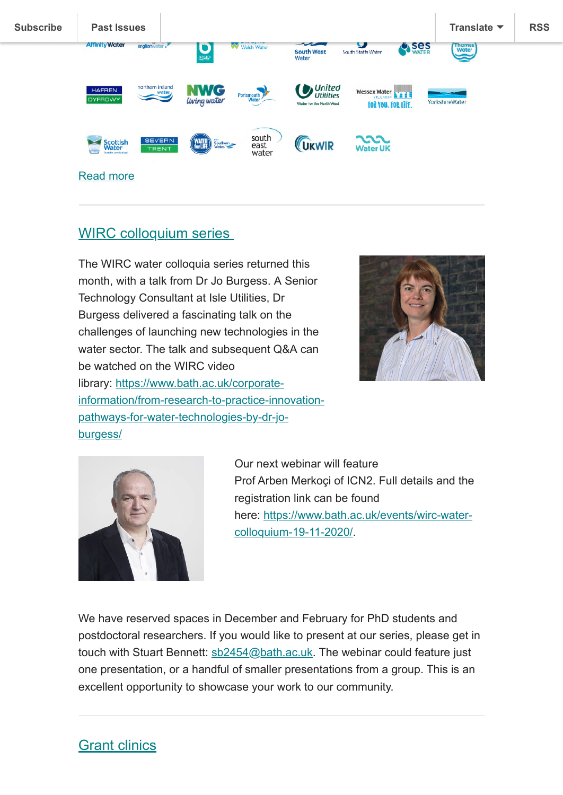

### <span id="page-2-0"></span>WIRC colloquium series



The WIRC water colloquia series returned this month, with a talk from Dr Jo Burgess. A Senior Technology Consultant at Isle Utilities, Dr Burgess delivered a fascinating talk on the challenges of launching new technologies in the water sector. The talk and subsequent Q&A can be watched on the WIRC video library: https://www.bath.ac.uk/corporate[information/from-research-to-practice-innovation](https://www.bath.ac.uk/corporate-information/from-research-to-practice-innovation-pathways-for-water-technologies-by-dr-jo-burgess/)pathways-for-water-technologies-by-dr-joburgess/



Our next webinar will feature Prof Arben Merkoçi of ICN2. Full details and the registration link can be found [here: https://www.bath.ac.uk/events/wirc-water](https://www.bath.ac.uk/events/wirc-water-colloquium-19-11-2020/)colloquium-19-11-2020/.

We have reserved spaces in December and February for PhD students and postdoctoral researchers. If you would like to present at our series, please get in touch with Stuart Bennett: [sb2454@bath.ac.uk.](mailto:sb2454@bath.ac.uk) The webinar could feature just one presentation, or a handful of smaller presentations from a group. This is an excellent opportunity to showcase your work to our community.

### <span id="page-2-1"></span>Grant clinics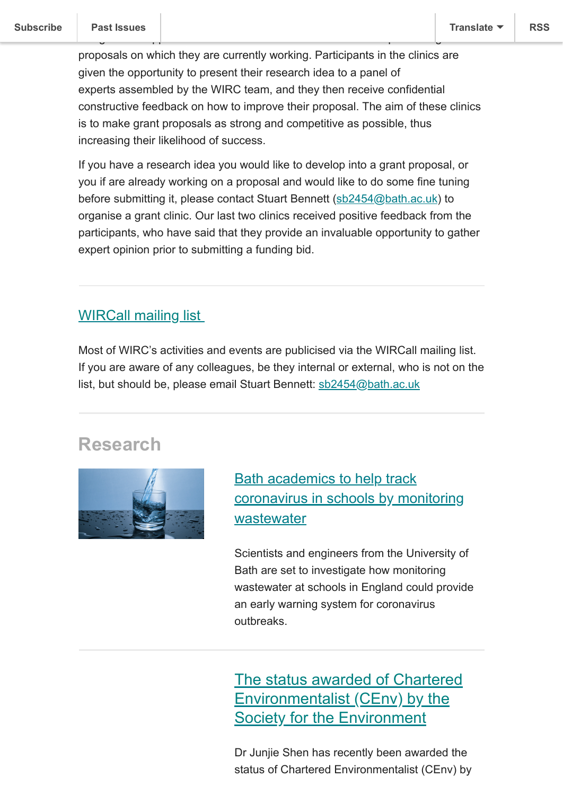proposals on which they are currently working. Participants in the clinics are given the opportunity to present their research idea to a panel of experts assembled by the WIRC team, and they then receive confidential constructive feedback on how to improve their proposal. The aim of these clinics is to make grant proposals as strong and competitive as possible, thus increasing their likelihood of success.

designed to support academics and researchers in the development of grant

If you have a research idea you would like to develop into a grant proposal, or you if are already working on a proposal and would like to do some fine tuning before submitting it, please contact Stuart Bennett ([sb2454@bath.ac.uk\)](mailto:sb2454@bath.ac.uk) to organise a grant clinic. Our last two clinics received positive feedback from the participants, who have said that they provide an invaluable opportunity to gather expert opinion prior to submitting a funding bid.

#### <span id="page-3-0"></span>WIRCall mailing list

Most of WIRC's activities and events are publicised via the WIRCall mailing list. If you are aware of any colleagues, be they internal or external, who is not on the list, but should be, please email Stuart Bennett: [sb2454@bath.ac.uk](mailto:sb2454@bath.ac.uk)

## **Research**



Bath academics to help track [coronavirus in schools by monitoring](https://www.bath.ac.uk/announcements/bath-academics-to-help-track-coronavirus-in-schools-by-monitoring-wastewater/) wastewater

Scientists and engineers from the University of Bath are set to investigate how monitoring wastewater at schools in England could provide an early warning system for coronavirus outbreaks.

<span id="page-3-1"></span>The status awarded of Chartered Environmentalist (CEnv) by the Society for the Environment

Dr Junjie Shen has recently been awarded the status of Chartered Environmentalist (CEnv) by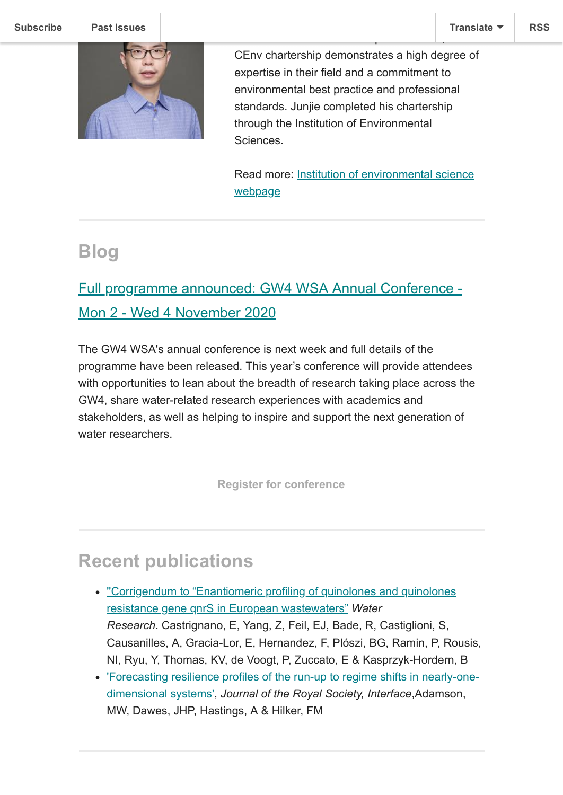

CEnv chartership demonstrates a high degree of expertise in their field and a commitment to environmental best practice and professional standards. Junjie completed his chartership through the Institution of Environmental **Sciences** 

standard' for environmental professionals, the

[Read more: Institution of environmental science](https://www.the-ies.org/chartered_environmentalist) webpage

## **Blog**

## <span id="page-4-0"></span>Full programme announced: GW4 WSA Annual Conference - Mon 2 - Wed 4 November 2020

The GW4 WSA's annual conference is next week and full details of the programme have been released. This year's conference will provide attendees with opportunities to lean about the breadth of research taking place across the GW4, share water-related research experiences with academics and stakeholders, as well as helping to inspire and support the next generation of water researchers.

**[Register for conference](https://www.eventbrite.co.uk/e/regional-research-with-far-reaching-impacts-tickets-85976214171)**

## **Recent publications**

- ['](https://doi.org/10.3390/w12082224)['Corrigendum to "Enantiomeric profiling of quinolones and quinolones](https://doi.org/10.1016/j.watres.2020.116345) resistance gene qnrS in European wastewaters" *Water Research*. Castrignano, E, Yang, Z, Feil, EJ, Bade, R, Castiglioni, S, Causanilles, A, Gracia-Lor, E, Hernandez, F, Plόszi, BG, Ramin, P, Rousis, NI, Ryu, Y, Thomas, KV, de Voogt, P, Zuccato, E & Kasprzyk-Hordern, B
- <span id="page-4-1"></span>['Forecasting resilience profiles of the run-up to regime shifts in nearly-one](https://doi.org/10.1098/rsif.2020.0566)dimensional systems', *Journal of the Royal Society, Interface*,Adamson, MW, Dawes, JHP, Hastings, A & Hilker, FM